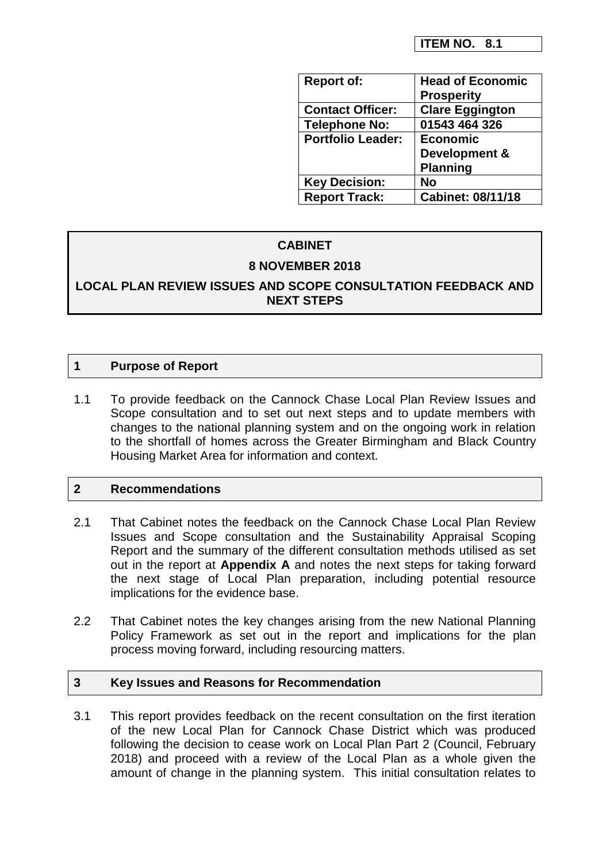| <b>Report of:</b>        | <b>Head of Economic</b>  |
|--------------------------|--------------------------|
|                          | <b>Prosperity</b>        |
| <b>Contact Officer:</b>  | <b>Clare Eggington</b>   |
| <b>Telephone No:</b>     | 01543 464 326            |
| <b>Portfolio Leader:</b> | <b>Economic</b>          |
|                          | Development &            |
|                          | <b>Planning</b>          |
| <b>Key Decision:</b>     | <b>No</b>                |
| <b>Report Track:</b>     | <b>Cabinet: 08/11/18</b> |

# **CABINET**

# **8 NOVEMBER 2018**

**LOCAL PLAN REVIEW ISSUES AND SCOPE CONSULTATION FEEDBACK AND NEXT STEPS**

## **1 Purpose of Report**

1.1 To provide feedback on the Cannock Chase Local Plan Review Issues and Scope consultation and to set out next steps and to update members with changes to the national planning system and on the ongoing work in relation to the shortfall of homes across the Greater Birmingham and Black Country Housing Market Area for information and context.

# **2 Recommendations**

- 2.1 That Cabinet notes the feedback on the Cannock Chase Local Plan Review Issues and Scope consultation and the Sustainability Appraisal Scoping Report and the summary of the different consultation methods utilised as set out in the report at **Appendix A** and notes the next steps for taking forward the next stage of Local Plan preparation, including potential resource implications for the evidence base.
- 2.2 That Cabinet notes the key changes arising from the new National Planning Policy Framework as set out in the report and implications for the plan process moving forward, including resourcing matters.

## **3 Key Issues and Reasons for Recommendation**

3.1 This report provides feedback on the recent consultation on the first iteration of the new Local Plan for Cannock Chase District which was produced following the decision to cease work on Local Plan Part 2 (Council, February 2018) and proceed with a review of the Local Plan as a whole given the amount of change in the planning system. This initial consultation relates to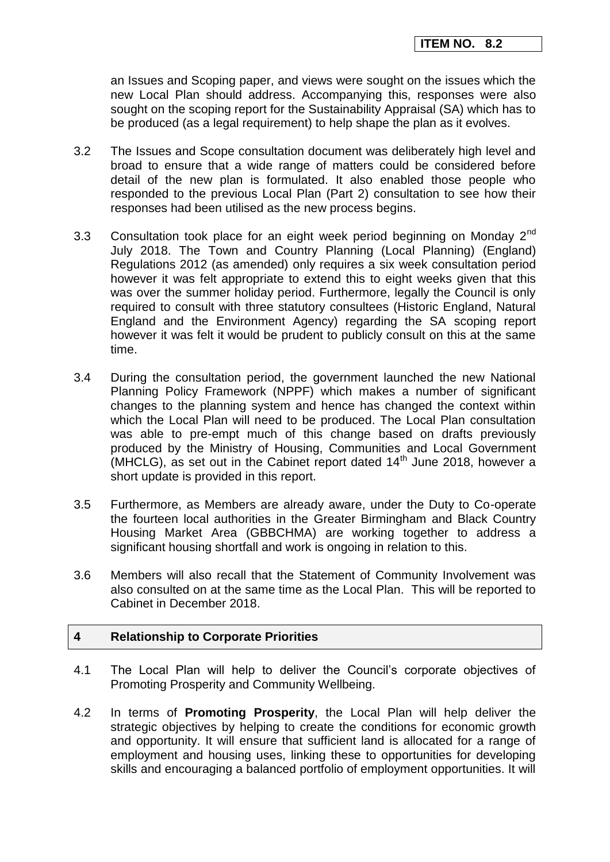an Issues and Scoping paper, and views were sought on the issues which the new Local Plan should address. Accompanying this, responses were also sought on the scoping report for the Sustainability Appraisal (SA) which has to be produced (as a legal requirement) to help shape the plan as it evolves.

- 3.2 The Issues and Scope consultation document was deliberately high level and broad to ensure that a wide range of matters could be considered before detail of the new plan is formulated. It also enabled those people who responded to the previous Local Plan (Part 2) consultation to see how their responses had been utilised as the new process begins.
- 3.3 Consultation took place for an eight week period beginning on Monday  $2^{nd}$ July 2018. The Town and Country Planning (Local Planning) (England) Regulations 2012 (as amended) only requires a six week consultation period however it was felt appropriate to extend this to eight weeks given that this was over the summer holiday period. Furthermore, legally the Council is only required to consult with three statutory consultees (Historic England, Natural England and the Environment Agency) regarding the SA scoping report however it was felt it would be prudent to publicly consult on this at the same time.
- 3.4 During the consultation period, the government launched the new National Planning Policy Framework (NPPF) which makes a number of significant changes to the planning system and hence has changed the context within which the Local Plan will need to be produced. The Local Plan consultation was able to pre-empt much of this change based on drafts previously produced by the Ministry of Housing, Communities and Local Government  $(MHCLG)$ , as set out in the Cabinet report dated  $14<sup>th</sup>$  June 2018, however a short update is provided in this report.
- 3.5 Furthermore, as Members are already aware, under the Duty to Co-operate the fourteen local authorities in the Greater Birmingham and Black Country Housing Market Area (GBBCHMA) are working together to address a significant housing shortfall and work is ongoing in relation to this.
- 3.6 Members will also recall that the Statement of Community Involvement was also consulted on at the same time as the Local Plan. This will be reported to Cabinet in December 2018.

## **4 Relationship to Corporate Priorities**

- 4.1 The Local Plan will help to deliver the Council's corporate objectives of Promoting Prosperity and Community Wellbeing.
- 4.2 In terms of **Promoting Prosperity**, the Local Plan will help deliver the strategic objectives by helping to create the conditions for economic growth and opportunity. It will ensure that sufficient land is allocated for a range of employment and housing uses, linking these to opportunities for developing skills and encouraging a balanced portfolio of employment opportunities. It will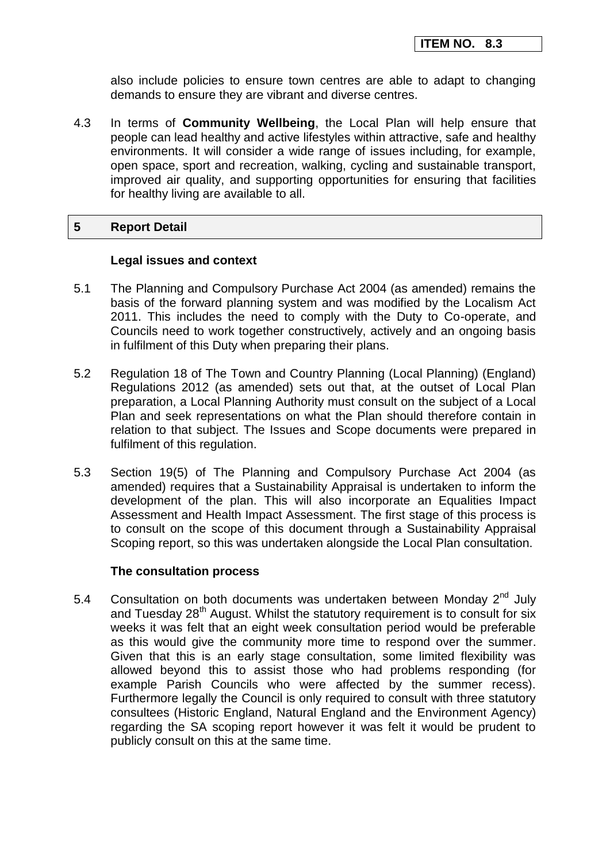also include policies to ensure town centres are able to adapt to changing demands to ensure they are vibrant and diverse centres.

4.3 In terms of **Community Wellbeing**, the Local Plan will help ensure that people can lead healthy and active lifestyles within attractive, safe and healthy environments. It will consider a wide range of issues including, for example, open space, sport and recreation, walking, cycling and sustainable transport, improved air quality, and supporting opportunities for ensuring that facilities for healthy living are available to all.

### **5 Report Detail**

#### **Legal issues and context**

- 5.1 The Planning and Compulsory Purchase Act 2004 (as amended) remains the basis of the forward planning system and was modified by the Localism Act 2011. This includes the need to comply with the Duty to Co-operate, and Councils need to work together constructively, actively and an ongoing basis in fulfilment of this Duty when preparing their plans.
- 5.2 Regulation 18 of The Town and Country Planning (Local Planning) (England) Regulations 2012 (as amended) sets out that, at the outset of Local Plan preparation, a Local Planning Authority must consult on the subject of a Local Plan and seek representations on what the Plan should therefore contain in relation to that subject. The Issues and Scope documents were prepared in fulfilment of this regulation.
- 5.3 Section 19(5) of The Planning and Compulsory Purchase Act 2004 (as amended) requires that a Sustainability Appraisal is undertaken to inform the development of the plan. This will also incorporate an Equalities Impact Assessment and Health Impact Assessment. The first stage of this process is to consult on the scope of this document through a Sustainability Appraisal Scoping report, so this was undertaken alongside the Local Plan consultation.

#### **The consultation process**

5.4 Consultation on both documents was undertaken between Monday 2<sup>nd</sup> July and Tuesday  $28<sup>th</sup>$  August. Whilst the statutory requirement is to consult for six weeks it was felt that an eight week consultation period would be preferable as this would give the community more time to respond over the summer. Given that this is an early stage consultation, some limited flexibility was allowed beyond this to assist those who had problems responding (for example Parish Councils who were affected by the summer recess). Furthermore legally the Council is only required to consult with three statutory consultees (Historic England, Natural England and the Environment Agency) regarding the SA scoping report however it was felt it would be prudent to publicly consult on this at the same time.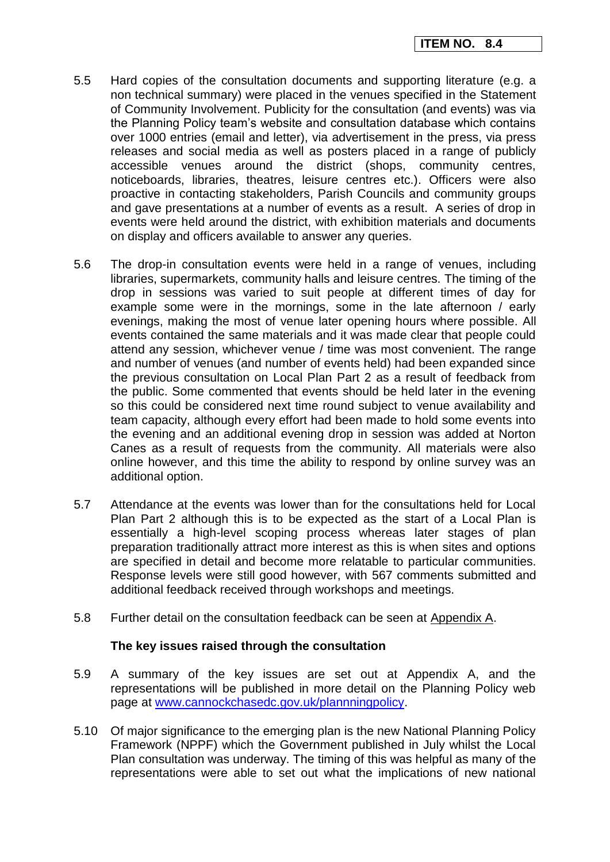- 5.5 Hard copies of the consultation documents and supporting literature (e.g. a non technical summary) were placed in the venues specified in the Statement of Community Involvement. Publicity for the consultation (and events) was via the Planning Policy team's website and consultation database which contains over 1000 entries (email and letter), via advertisement in the press, via press releases and social media as well as posters placed in a range of publicly accessible venues around the district (shops, community centres, noticeboards, libraries, theatres, leisure centres etc.). Officers were also proactive in contacting stakeholders, Parish Councils and community groups and gave presentations at a number of events as a result. A series of drop in events were held around the district, with exhibition materials and documents on display and officers available to answer any queries.
- 5.6 The drop-in consultation events were held in a range of venues, including libraries, supermarkets, community halls and leisure centres. The timing of the drop in sessions was varied to suit people at different times of day for example some were in the mornings, some in the late afternoon / early evenings, making the most of venue later opening hours where possible. All events contained the same materials and it was made clear that people could attend any session, whichever venue / time was most convenient. The range and number of venues (and number of events held) had been expanded since the previous consultation on Local Plan Part 2 as a result of feedback from the public. Some commented that events should be held later in the evening so this could be considered next time round subject to venue availability and team capacity, although every effort had been made to hold some events into the evening and an additional evening drop in session was added at Norton Canes as a result of requests from the community. All materials were also online however, and this time the ability to respond by online survey was an additional option.
- 5.7 Attendance at the events was lower than for the consultations held for Local Plan Part 2 although this is to be expected as the start of a Local Plan is essentially a high-level scoping process whereas later stages of plan preparation traditionally attract more interest as this is when sites and options are specified in detail and become more relatable to particular communities. Response levels were still good however, with 567 comments submitted and additional feedback received through workshops and meetings.
- 5.8 Further detail on the consultation feedback can be seen at Appendix A.

## **The key issues raised through the consultation**

- 5.9 A summary of the key issues are set out at Appendix A, and the representations will be published in more detail on the Planning Policy web page at [www.cannockchasedc.gov.uk/plannningpolicy.](http://www.cannockchasedc.gov.uk/plannningpolicy)
- 5.10 Of major significance to the emerging plan is the new National Planning Policy Framework (NPPF) which the Government published in July whilst the Local Plan consultation was underway. The timing of this was helpful as many of the representations were able to set out what the implications of new national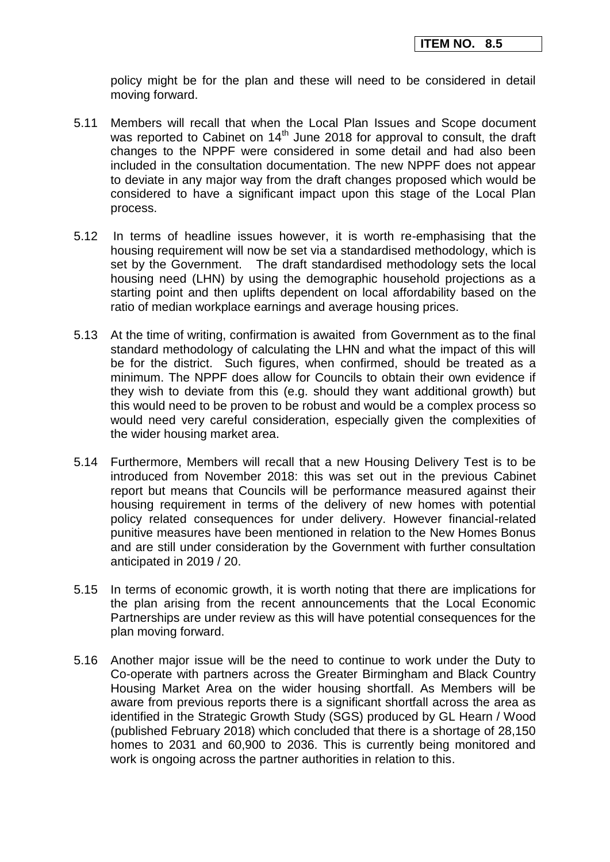policy might be for the plan and these will need to be considered in detail moving forward.

- 5.11 Members will recall that when the Local Plan Issues and Scope document was reported to Cabinet on 14<sup>th</sup> June 2018 for approval to consult, the draft changes to the NPPF were considered in some detail and had also been included in the consultation documentation. The new NPPF does not appear to deviate in any major way from the draft changes proposed which would be considered to have a significant impact upon this stage of the Local Plan process.
- 5.12 In terms of headline issues however, it is worth re-emphasising that the housing requirement will now be set via a standardised methodology, which is set by the Government. The draft standardised methodology sets the local housing need (LHN) by using the demographic household projections as a starting point and then uplifts dependent on local affordability based on the ratio of median workplace earnings and average housing prices.
- 5.13 At the time of writing, confirmation is awaited from Government as to the final standard methodology of calculating the LHN and what the impact of this will be for the district. Such figures, when confirmed, should be treated as a minimum. The NPPF does allow for Councils to obtain their own evidence if they wish to deviate from this (e.g. should they want additional growth) but this would need to be proven to be robust and would be a complex process so would need very careful consideration, especially given the complexities of the wider housing market area.
- 5.14 Furthermore, Members will recall that a new Housing Delivery Test is to be introduced from November 2018: this was set out in the previous Cabinet report but means that Councils will be performance measured against their housing requirement in terms of the delivery of new homes with potential policy related consequences for under delivery. However financial-related punitive measures have been mentioned in relation to the New Homes Bonus and are still under consideration by the Government with further consultation anticipated in 2019 / 20.
- 5.15 In terms of economic growth, it is worth noting that there are implications for the plan arising from the recent announcements that the Local Economic Partnerships are under review as this will have potential consequences for the plan moving forward.
- 5.16 Another major issue will be the need to continue to work under the Duty to Co-operate with partners across the Greater Birmingham and Black Country Housing Market Area on the wider housing shortfall. As Members will be aware from previous reports there is a significant shortfall across the area as identified in the Strategic Growth Study (SGS) produced by GL Hearn / Wood (published February 2018) which concluded that there is a shortage of 28,150 homes to 2031 and 60,900 to 2036. This is currently being monitored and work is ongoing across the partner authorities in relation to this.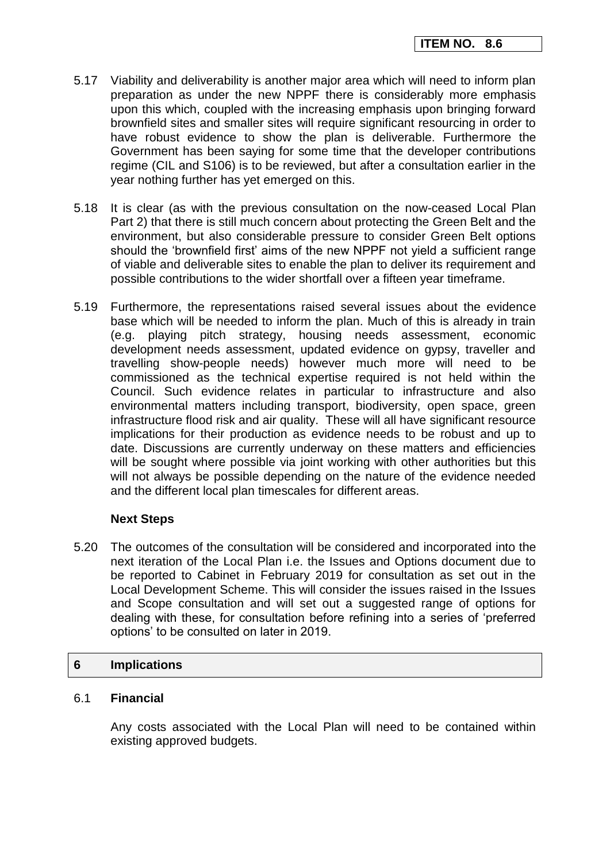- 5.17 Viability and deliverability is another major area which will need to inform plan preparation as under the new NPPF there is considerably more emphasis upon this which, coupled with the increasing emphasis upon bringing forward brownfield sites and smaller sites will require significant resourcing in order to have robust evidence to show the plan is deliverable. Furthermore the Government has been saying for some time that the developer contributions regime (CIL and S106) is to be reviewed, but after a consultation earlier in the year nothing further has yet emerged on this.
- 5.18 It is clear (as with the previous consultation on the now-ceased Local Plan Part 2) that there is still much concern about protecting the Green Belt and the environment, but also considerable pressure to consider Green Belt options should the 'brownfield first' aims of the new NPPF not yield a sufficient range of viable and deliverable sites to enable the plan to deliver its requirement and possible contributions to the wider shortfall over a fifteen year timeframe.
- 5.19 Furthermore, the representations raised several issues about the evidence base which will be needed to inform the plan. Much of this is already in train (e.g. playing pitch strategy, housing needs assessment, economic development needs assessment, updated evidence on gypsy, traveller and travelling show-people needs) however much more will need to be commissioned as the technical expertise required is not held within the Council. Such evidence relates in particular to infrastructure and also environmental matters including transport, biodiversity, open space, green infrastructure flood risk and air quality. These will all have significant resource implications for their production as evidence needs to be robust and up to date. Discussions are currently underway on these matters and efficiencies will be sought where possible via joint working with other authorities but this will not always be possible depending on the nature of the evidence needed and the different local plan timescales for different areas.

## **Next Steps**

5.20 The outcomes of the consultation will be considered and incorporated into the next iteration of the Local Plan i.e. the Issues and Options document due to be reported to Cabinet in February 2019 for consultation as set out in the Local Development Scheme. This will consider the issues raised in the Issues and Scope consultation and will set out a suggested range of options for dealing with these, for consultation before refining into a series of 'preferred options' to be consulted on later in 2019.

## **6 Implications**

## 6.1 **Financial**

Any costs associated with the Local Plan will need to be contained within existing approved budgets.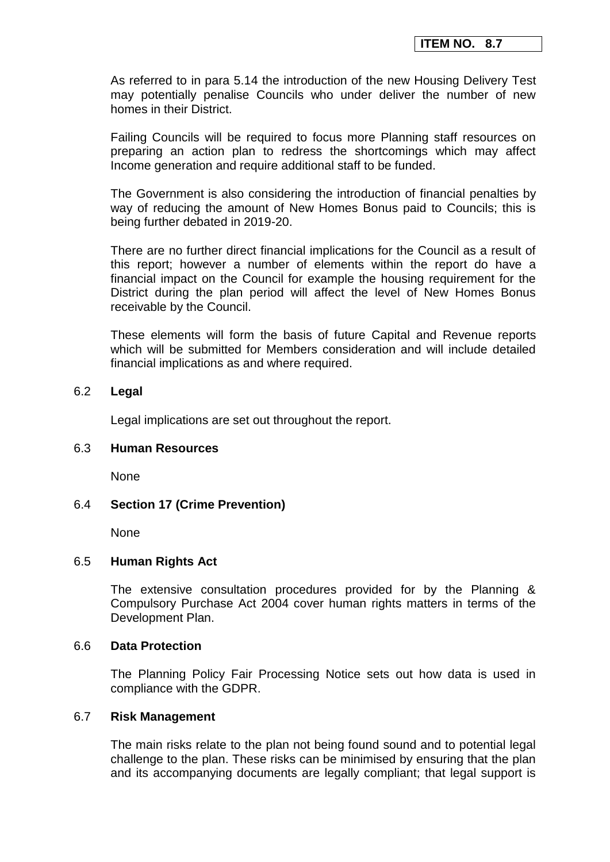As referred to in para 5.14 the introduction of the new Housing Delivery Test may potentially penalise Councils who under deliver the number of new homes in their District.

Failing Councils will be required to focus more Planning staff resources on preparing an action plan to redress the shortcomings which may affect Income generation and require additional staff to be funded.

The Government is also considering the introduction of financial penalties by way of reducing the amount of New Homes Bonus paid to Councils; this is being further debated in 2019-20.

There are no further direct financial implications for the Council as a result of this report; however a number of elements within the report do have a financial impact on the Council for example the housing requirement for the District during the plan period will affect the level of New Homes Bonus receivable by the Council.

These elements will form the basis of future Capital and Revenue reports which will be submitted for Members consideration and will include detailed financial implications as and where required.

#### 6.2 **Legal**

Legal implications are set out throughout the report.

#### 6.3 **Human Resources**

None

#### 6.4 **Section 17 (Crime Prevention)**

None

#### 6.5 **Human Rights Act**

The extensive consultation procedures provided for by the Planning & Compulsory Purchase Act 2004 cover human rights matters in terms of the Development Plan.

#### 6.6 **Data Protection**

The Planning Policy Fair Processing Notice sets out how data is used in compliance with the GDPR.

#### 6.7 **Risk Management**

The main risks relate to the plan not being found sound and to potential legal challenge to the plan. These risks can be minimised by ensuring that the plan and its accompanying documents are legally compliant; that legal support is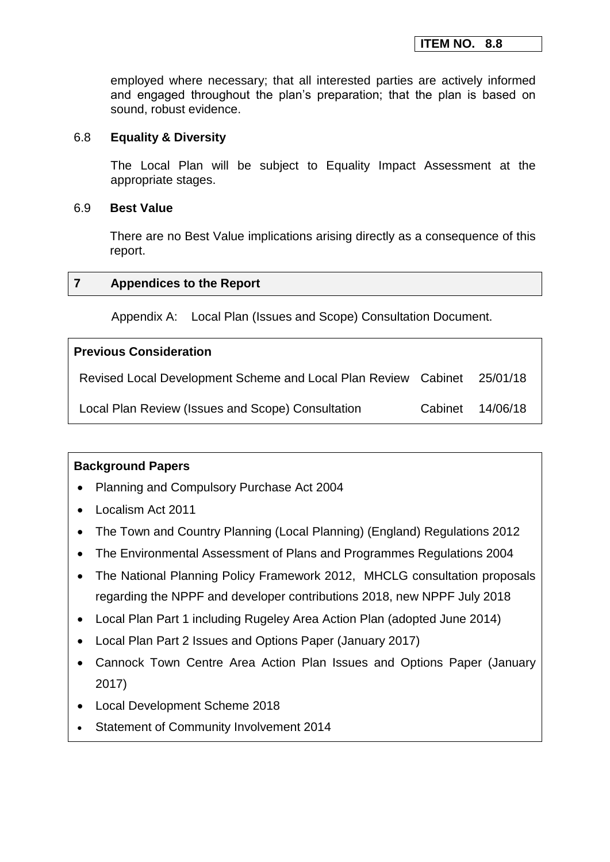employed where necessary; that all interested parties are actively informed and engaged throughout the plan's preparation; that the plan is based on sound, robust evidence.

## 6.8 **Equality & Diversity**

The Local Plan will be subject to Equality Impact Assessment at the appropriate stages.

## 6.9 **Best Value**

There are no Best Value implications arising directly as a consequence of this report.

## **7 Appendices to the Report**

Appendix A: Local Plan (Issues and Scope) Consultation Document.

## **Previous Consideration**

| Revised Local Development Scheme and Local Plan Review Cabinet | 25/01/18         |
|----------------------------------------------------------------|------------------|
| Local Plan Review (Issues and Scope) Consultation              | Cabinet 14/06/18 |

# **Background Papers**

- Planning and Compulsory Purchase Act 2004
- Localism Act 2011
- The Town and Country Planning (Local Planning) (England) Regulations 2012
- The Environmental Assessment of Plans and Programmes Regulations 2004
- The National Planning Policy Framework 2012, MHCLG consultation proposals regarding the NPPF and developer contributions 2018, new NPPF July 2018
- Local Plan Part 1 including Rugeley Area Action Plan (adopted June 2014)
- Local Plan Part 2 Issues and Options Paper (January 2017)
- Cannock Town Centre Area Action Plan Issues and Options Paper (January 2017)
- Local Development Scheme 2018
- Statement of Community Involvement 2014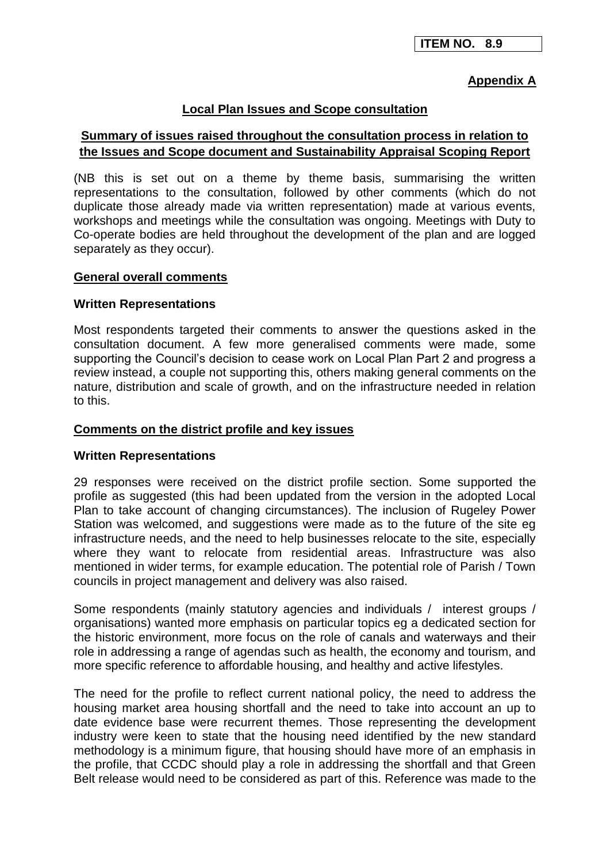## **Appendix A**

### **Local Plan Issues and Scope consultation**

# **Summary of issues raised throughout the consultation process in relation to the Issues and Scope document and Sustainability Appraisal Scoping Report**

(NB this is set out on a theme by theme basis, summarising the written representations to the consultation, followed by other comments (which do not duplicate those already made via written representation) made at various events, workshops and meetings while the consultation was ongoing. Meetings with Duty to Co-operate bodies are held throughout the development of the plan and are logged separately as they occur).

### **General overall comments**

### **Written Representations**

Most respondents targeted their comments to answer the questions asked in the consultation document. A few more generalised comments were made, some supporting the Council's decision to cease work on Local Plan Part 2 and progress a review instead, a couple not supporting this, others making general comments on the nature, distribution and scale of growth, and on the infrastructure needed in relation to this.

### **Comments on the district profile and key issues**

#### **Written Representations**

29 responses were received on the district profile section. Some supported the profile as suggested (this had been updated from the version in the adopted Local Plan to take account of changing circumstances). The inclusion of Rugeley Power Station was welcomed, and suggestions were made as to the future of the site eg infrastructure needs, and the need to help businesses relocate to the site, especially where they want to relocate from residential areas. Infrastructure was also mentioned in wider terms, for example education. The potential role of Parish / Town councils in project management and delivery was also raised.

Some respondents (mainly statutory agencies and individuals / interest groups / organisations) wanted more emphasis on particular topics eg a dedicated section for the historic environment, more focus on the role of canals and waterways and their role in addressing a range of agendas such as health, the economy and tourism, and more specific reference to affordable housing, and healthy and active lifestyles.

The need for the profile to reflect current national policy, the need to address the housing market area housing shortfall and the need to take into account an up to date evidence base were recurrent themes. Those representing the development industry were keen to state that the housing need identified by the new standard methodology is a minimum figure, that housing should have more of an emphasis in the profile, that CCDC should play a role in addressing the shortfall and that Green Belt release would need to be considered as part of this. Reference was made to the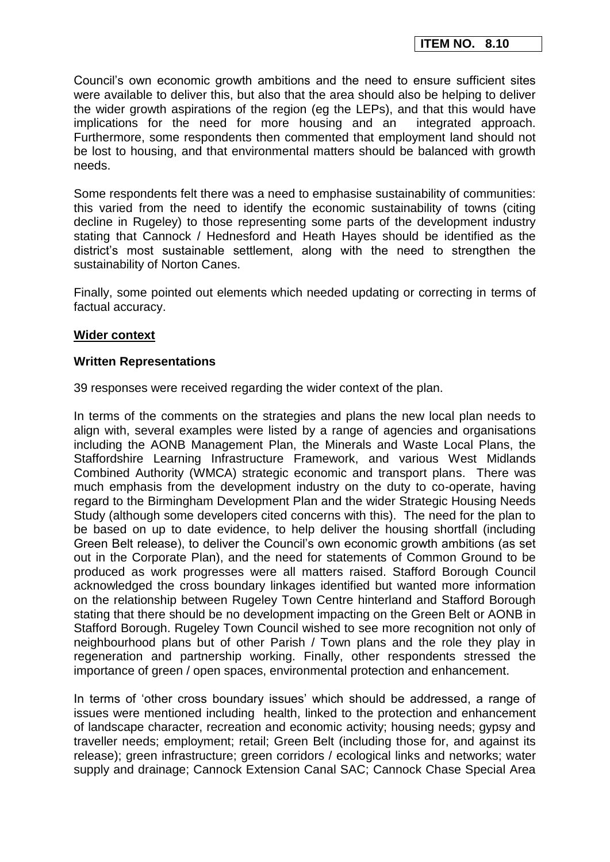Council's own economic growth ambitions and the need to ensure sufficient sites were available to deliver this, but also that the area should also be helping to deliver the wider growth aspirations of the region (eg the LEPs), and that this would have implications for the need for more housing and an integrated approach. Furthermore, some respondents then commented that employment land should not be lost to housing, and that environmental matters should be balanced with growth needs.

Some respondents felt there was a need to emphasise sustainability of communities: this varied from the need to identify the economic sustainability of towns (citing decline in Rugeley) to those representing some parts of the development industry stating that Cannock / Hednesford and Heath Hayes should be identified as the district's most sustainable settlement, along with the need to strengthen the sustainability of Norton Canes.

Finally, some pointed out elements which needed updating or correcting in terms of factual accuracy.

#### **Wider context**

#### **Written Representations**

39 responses were received regarding the wider context of the plan.

In terms of the comments on the strategies and plans the new local plan needs to align with, several examples were listed by a range of agencies and organisations including the AONB Management Plan, the Minerals and Waste Local Plans, the Staffordshire Learning Infrastructure Framework, and various West Midlands Combined Authority (WMCA) strategic economic and transport plans. There was much emphasis from the development industry on the duty to co-operate, having regard to the Birmingham Development Plan and the wider Strategic Housing Needs Study (although some developers cited concerns with this). The need for the plan to be based on up to date evidence, to help deliver the housing shortfall (including Green Belt release), to deliver the Council's own economic growth ambitions (as set out in the Corporate Plan), and the need for statements of Common Ground to be produced as work progresses were all matters raised. Stafford Borough Council acknowledged the cross boundary linkages identified but wanted more information on the relationship between Rugeley Town Centre hinterland and Stafford Borough stating that there should be no development impacting on the Green Belt or AONB in Stafford Borough. Rugeley Town Council wished to see more recognition not only of neighbourhood plans but of other Parish / Town plans and the role they play in regeneration and partnership working. Finally, other respondents stressed the importance of green / open spaces, environmental protection and enhancement.

In terms of 'other cross boundary issues' which should be addressed, a range of issues were mentioned including health, linked to the protection and enhancement of landscape character, recreation and economic activity; housing needs; gypsy and traveller needs; employment; retail; Green Belt (including those for, and against its release); green infrastructure; green corridors / ecological links and networks; water supply and drainage; Cannock Extension Canal SAC; Cannock Chase Special Area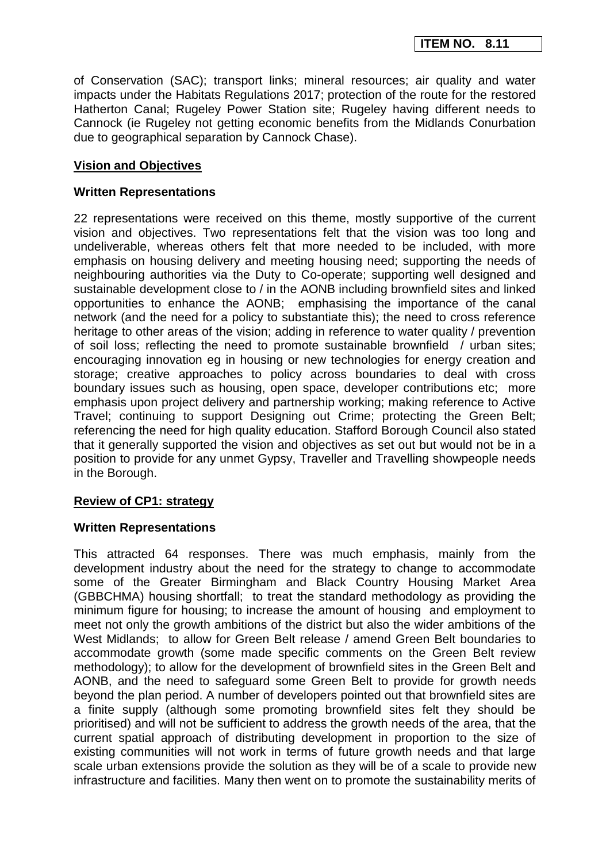of Conservation (SAC); transport links; mineral resources; air quality and water impacts under the Habitats Regulations 2017; protection of the route for the restored Hatherton Canal; Rugeley Power Station site; Rugeley having different needs to Cannock (ie Rugeley not getting economic benefits from the Midlands Conurbation due to geographical separation by Cannock Chase).

## **Vision and Objectives**

### **Written Representations**

22 representations were received on this theme, mostly supportive of the current vision and objectives. Two representations felt that the vision was too long and undeliverable, whereas others felt that more needed to be included, with more emphasis on housing delivery and meeting housing need; supporting the needs of neighbouring authorities via the Duty to Co-operate; supporting well designed and sustainable development close to / in the AONB including brownfield sites and linked opportunities to enhance the AONB; emphasising the importance of the canal network (and the need for a policy to substantiate this); the need to cross reference heritage to other areas of the vision; adding in reference to water quality / prevention of soil loss; reflecting the need to promote sustainable brownfield / urban sites; encouraging innovation eg in housing or new technologies for energy creation and storage; creative approaches to policy across boundaries to deal with cross boundary issues such as housing, open space, developer contributions etc; more emphasis upon project delivery and partnership working; making reference to Active Travel; continuing to support Designing out Crime; protecting the Green Belt; referencing the need for high quality education. Stafford Borough Council also stated that it generally supported the vision and objectives as set out but would not be in a position to provide for any unmet Gypsy, Traveller and Travelling showpeople needs in the Borough.

## **Review of CP1: strategy**

## **Written Representations**

This attracted 64 responses. There was much emphasis, mainly from the development industry about the need for the strategy to change to accommodate some of the Greater Birmingham and Black Country Housing Market Area (GBBCHMA) housing shortfall; to treat the standard methodology as providing the minimum figure for housing; to increase the amount of housing and employment to meet not only the growth ambitions of the district but also the wider ambitions of the West Midlands; to allow for Green Belt release / amend Green Belt boundaries to accommodate growth (some made specific comments on the Green Belt review methodology); to allow for the development of brownfield sites in the Green Belt and AONB, and the need to safeguard some Green Belt to provide for growth needs beyond the plan period. A number of developers pointed out that brownfield sites are a finite supply (although some promoting brownfield sites felt they should be prioritised) and will not be sufficient to address the growth needs of the area, that the current spatial approach of distributing development in proportion to the size of existing communities will not work in terms of future growth needs and that large scale urban extensions provide the solution as they will be of a scale to provide new infrastructure and facilities. Many then went on to promote the sustainability merits of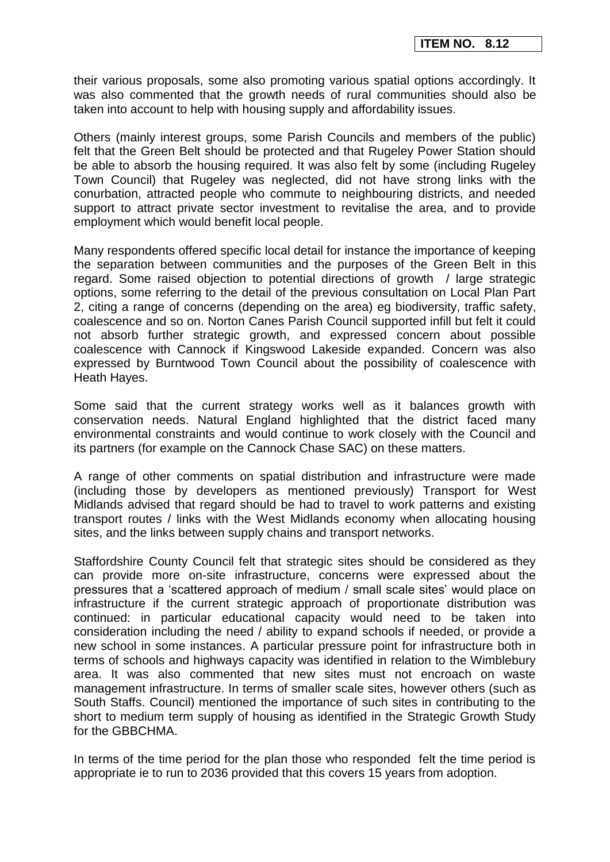their various proposals, some also promoting various spatial options accordingly. It was also commented that the growth needs of rural communities should also be taken into account to help with housing supply and affordability issues.

Others (mainly interest groups, some Parish Councils and members of the public) felt that the Green Belt should be protected and that Rugeley Power Station should be able to absorb the housing required. It was also felt by some (including Rugeley Town Council) that Rugeley was neglected, did not have strong links with the conurbation, attracted people who commute to neighbouring districts, and needed support to attract private sector investment to revitalise the area, and to provide employment which would benefit local people.

Many respondents offered specific local detail for instance the importance of keeping the separation between communities and the purposes of the Green Belt in this regard. Some raised objection to potential directions of growth / large strategic options, some referring to the detail of the previous consultation on Local Plan Part 2, citing a range of concerns (depending on the area) eg biodiversity, traffic safety, coalescence and so on. Norton Canes Parish Council supported infill but felt it could not absorb further strategic growth, and expressed concern about possible coalescence with Cannock if Kingswood Lakeside expanded. Concern was also expressed by Burntwood Town Council about the possibility of coalescence with Heath Hayes.

Some said that the current strategy works well as it balances growth with conservation needs. Natural England highlighted that the district faced many environmental constraints and would continue to work closely with the Council and its partners (for example on the Cannock Chase SAC) on these matters.

A range of other comments on spatial distribution and infrastructure were made (including those by developers as mentioned previously) Transport for West Midlands advised that regard should be had to travel to work patterns and existing transport routes / links with the West Midlands economy when allocating housing sites, and the links between supply chains and transport networks.

Staffordshire County Council felt that strategic sites should be considered as they can provide more on-site infrastructure, concerns were expressed about the pressures that a 'scattered approach of medium / small scale sites' would place on infrastructure if the current strategic approach of proportionate distribution was continued: in particular educational capacity would need to be taken into consideration including the need / ability to expand schools if needed, or provide a new school in some instances. A particular pressure point for infrastructure both in terms of schools and highways capacity was identified in relation to the Wimblebury area. It was also commented that new sites must not encroach on waste management infrastructure. In terms of smaller scale sites, however others (such as South Staffs. Council) mentioned the importance of such sites in contributing to the short to medium term supply of housing as identified in the Strategic Growth Study for the GBBCHMA.

In terms of the time period for the plan those who responded felt the time period is appropriate ie to run to 2036 provided that this covers 15 years from adoption.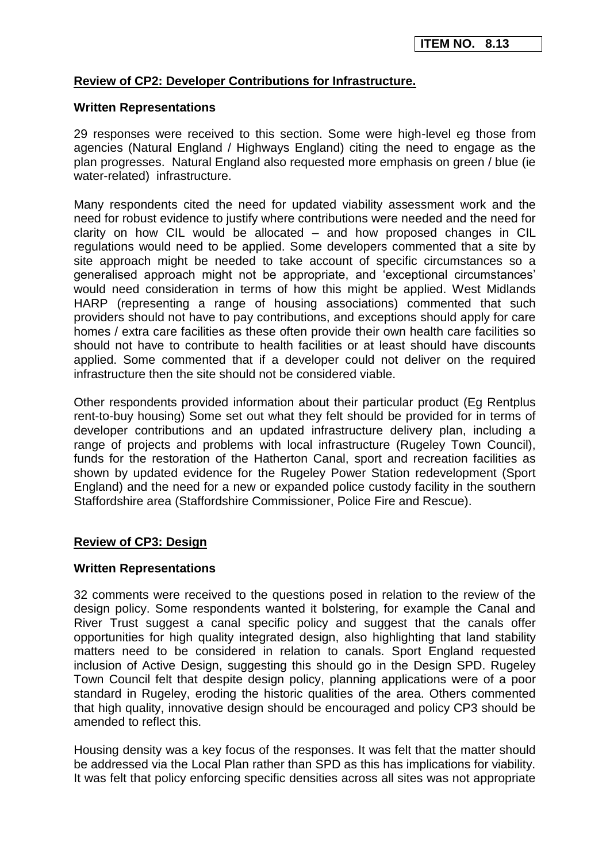## **Review of CP2: Developer Contributions for Infrastructure.**

### **Written Representations**

29 responses were received to this section. Some were high-level eg those from agencies (Natural England / Highways England) citing the need to engage as the plan progresses. Natural England also requested more emphasis on green / blue (ie water-related) infrastructure.

Many respondents cited the need for updated viability assessment work and the need for robust evidence to justify where contributions were needed and the need for clarity on how CIL would be allocated – and how proposed changes in CIL regulations would need to be applied. Some developers commented that a site by site approach might be needed to take account of specific circumstances so a generalised approach might not be appropriate, and 'exceptional circumstances' would need consideration in terms of how this might be applied. West Midlands HARP (representing a range of housing associations) commented that such providers should not have to pay contributions, and exceptions should apply for care homes / extra care facilities as these often provide their own health care facilities so should not have to contribute to health facilities or at least should have discounts applied. Some commented that if a developer could not deliver on the required infrastructure then the site should not be considered viable.

Other respondents provided information about their particular product (Eg Rentplus rent-to-buy housing) Some set out what they felt should be provided for in terms of developer contributions and an updated infrastructure delivery plan, including a range of projects and problems with local infrastructure (Rugeley Town Council), funds for the restoration of the Hatherton Canal, sport and recreation facilities as shown by updated evidence for the Rugeley Power Station redevelopment (Sport England) and the need for a new or expanded police custody facility in the southern Staffordshire area (Staffordshire Commissioner, Police Fire and Rescue).

## **Review of CP3: Design**

#### **Written Representations**

32 comments were received to the questions posed in relation to the review of the design policy. Some respondents wanted it bolstering, for example the Canal and River Trust suggest a canal specific policy and suggest that the canals offer opportunities for high quality integrated design, also highlighting that land stability matters need to be considered in relation to canals. Sport England requested inclusion of Active Design, suggesting this should go in the Design SPD. Rugeley Town Council felt that despite design policy, planning applications were of a poor standard in Rugeley, eroding the historic qualities of the area. Others commented that high quality, innovative design should be encouraged and policy CP3 should be amended to reflect this.

Housing density was a key focus of the responses. It was felt that the matter should be addressed via the Local Plan rather than SPD as this has implications for viability. It was felt that policy enforcing specific densities across all sites was not appropriate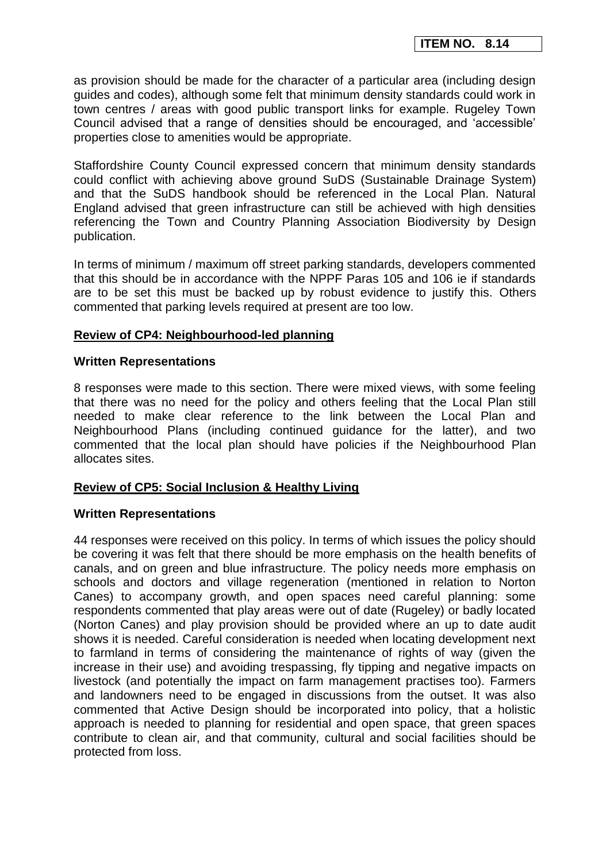as provision should be made for the character of a particular area (including design guides and codes), although some felt that minimum density standards could work in town centres / areas with good public transport links for example. Rugeley Town Council advised that a range of densities should be encouraged, and 'accessible' properties close to amenities would be appropriate.

Staffordshire County Council expressed concern that minimum density standards could conflict with achieving above ground SuDS (Sustainable Drainage System) and that the SuDS handbook should be referenced in the Local Plan. Natural England advised that green infrastructure can still be achieved with high densities referencing the Town and Country Planning Association Biodiversity by Design publication.

In terms of minimum / maximum off street parking standards, developers commented that this should be in accordance with the NPPF Paras 105 and 106 ie if standards are to be set this must be backed up by robust evidence to justify this. Others commented that parking levels required at present are too low.

## **Review of CP4: Neighbourhood-led planning**

#### **Written Representations**

8 responses were made to this section. There were mixed views, with some feeling that there was no need for the policy and others feeling that the Local Plan still needed to make clear reference to the link between the Local Plan and Neighbourhood Plans (including continued guidance for the latter), and two commented that the local plan should have policies if the Neighbourhood Plan allocates sites.

## **Review of CP5: Social Inclusion & Healthy Living**

## **Written Representations**

44 responses were received on this policy. In terms of which issues the policy should be covering it was felt that there should be more emphasis on the health benefits of canals, and on green and blue infrastructure. The policy needs more emphasis on schools and doctors and village regeneration (mentioned in relation to Norton Canes) to accompany growth, and open spaces need careful planning: some respondents commented that play areas were out of date (Rugeley) or badly located (Norton Canes) and play provision should be provided where an up to date audit shows it is needed. Careful consideration is needed when locating development next to farmland in terms of considering the maintenance of rights of way (given the increase in their use) and avoiding trespassing, fly tipping and negative impacts on livestock (and potentially the impact on farm management practises too). Farmers and landowners need to be engaged in discussions from the outset. It was also commented that Active Design should be incorporated into policy, that a holistic approach is needed to planning for residential and open space, that green spaces contribute to clean air, and that community, cultural and social facilities should be protected from loss.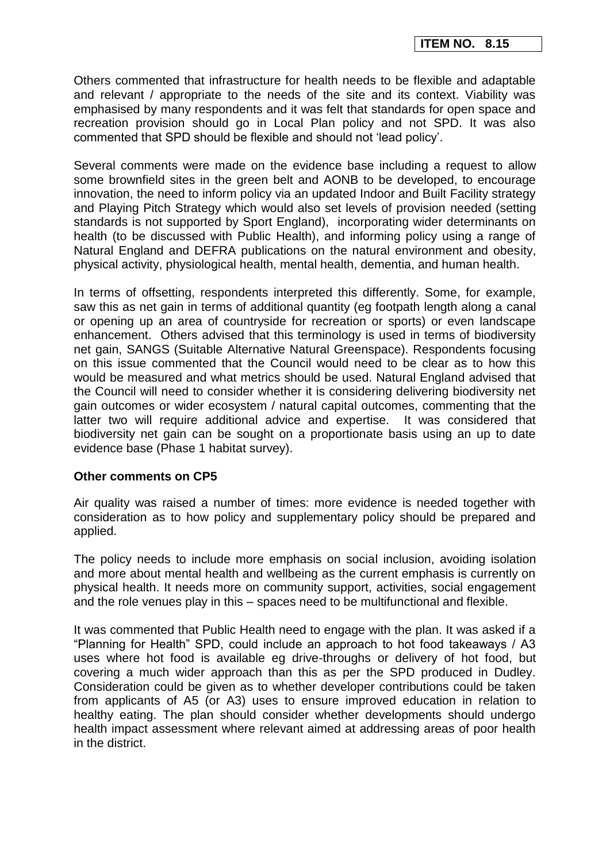Others commented that infrastructure for health needs to be flexible and adaptable and relevant / appropriate to the needs of the site and its context. Viability was emphasised by many respondents and it was felt that standards for open space and recreation provision should go in Local Plan policy and not SPD. It was also commented that SPD should be flexible and should not 'lead policy'.

Several comments were made on the evidence base including a request to allow some brownfield sites in the green belt and AONB to be developed, to encourage innovation, the need to inform policy via an updated Indoor and Built Facility strategy and Playing Pitch Strategy which would also set levels of provision needed (setting standards is not supported by Sport England), incorporating wider determinants on health (to be discussed with Public Health), and informing policy using a range of Natural England and DEFRA publications on the natural environment and obesity, physical activity, physiological health, mental health, dementia, and human health.

In terms of offsetting, respondents interpreted this differently. Some, for example, saw this as net gain in terms of additional quantity (eg footpath length along a canal or opening up an area of countryside for recreation or sports) or even landscape enhancement. Others advised that this terminology is used in terms of biodiversity net gain, SANGS (Suitable Alternative Natural Greenspace). Respondents focusing on this issue commented that the Council would need to be clear as to how this would be measured and what metrics should be used. Natural England advised that the Council will need to consider whether it is considering delivering biodiversity net gain outcomes or wider ecosystem / natural capital outcomes, commenting that the latter two will require additional advice and expertise. It was considered that biodiversity net gain can be sought on a proportionate basis using an up to date evidence base (Phase 1 habitat survey).

#### **Other comments on CP5**

Air quality was raised a number of times: more evidence is needed together with consideration as to how policy and supplementary policy should be prepared and applied.

The policy needs to include more emphasis on social inclusion, avoiding isolation and more about mental health and wellbeing as the current emphasis is currently on physical health. It needs more on community support, activities, social engagement and the role venues play in this – spaces need to be multifunctional and flexible.

It was commented that Public Health need to engage with the plan. It was asked if a "Planning for Health" SPD, could include an approach to hot food takeaways / A3 uses where hot food is available eg drive-throughs or delivery of hot food, but covering a much wider approach than this as per the SPD produced in Dudley. Consideration could be given as to whether developer contributions could be taken from applicants of A5 (or A3) uses to ensure improved education in relation to healthy eating. The plan should consider whether developments should undergo health impact assessment where relevant aimed at addressing areas of poor health in the district.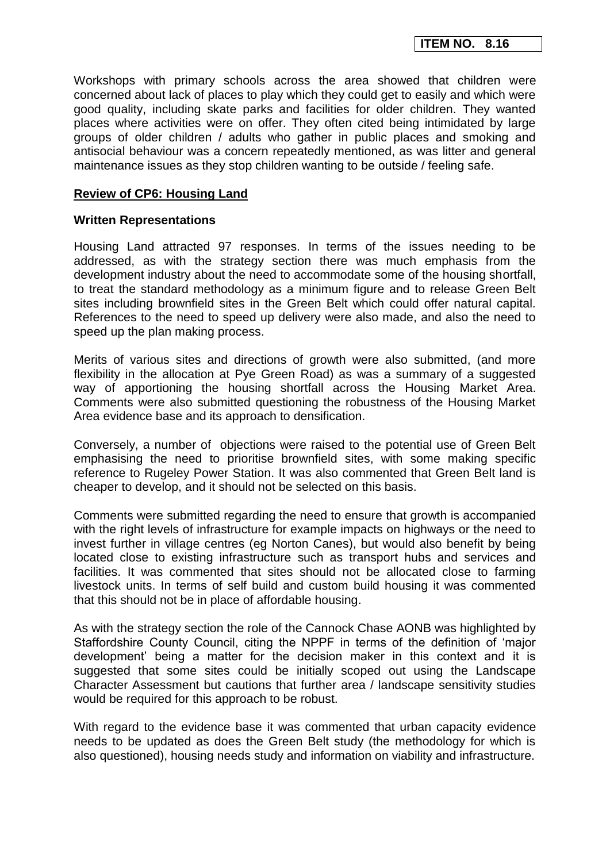Workshops with primary schools across the area showed that children were concerned about lack of places to play which they could get to easily and which were good quality, including skate parks and facilities for older children. They wanted places where activities were on offer. They often cited being intimidated by large groups of older children / adults who gather in public places and smoking and antisocial behaviour was a concern repeatedly mentioned, as was litter and general maintenance issues as they stop children wanting to be outside / feeling safe.

### **Review of CP6: Housing Land**

### **Written Representations**

Housing Land attracted 97 responses. In terms of the issues needing to be addressed, as with the strategy section there was much emphasis from the development industry about the need to accommodate some of the housing shortfall, to treat the standard methodology as a minimum figure and to release Green Belt sites including brownfield sites in the Green Belt which could offer natural capital. References to the need to speed up delivery were also made, and also the need to speed up the plan making process.

Merits of various sites and directions of growth were also submitted, (and more flexibility in the allocation at Pye Green Road) as was a summary of a suggested way of apportioning the housing shortfall across the Housing Market Area. Comments were also submitted questioning the robustness of the Housing Market Area evidence base and its approach to densification.

Conversely, a number of objections were raised to the potential use of Green Belt emphasising the need to prioritise brownfield sites, with some making specific reference to Rugeley Power Station. It was also commented that Green Belt land is cheaper to develop, and it should not be selected on this basis.

Comments were submitted regarding the need to ensure that growth is accompanied with the right levels of infrastructure for example impacts on highways or the need to invest further in village centres (eg Norton Canes), but would also benefit by being located close to existing infrastructure such as transport hubs and services and facilities. It was commented that sites should not be allocated close to farming livestock units. In terms of self build and custom build housing it was commented that this should not be in place of affordable housing.

As with the strategy section the role of the Cannock Chase AONB was highlighted by Staffordshire County Council, citing the NPPF in terms of the definition of 'major development' being a matter for the decision maker in this context and it is suggested that some sites could be initially scoped out using the Landscape Character Assessment but cautions that further area / landscape sensitivity studies would be required for this approach to be robust.

With regard to the evidence base it was commented that urban capacity evidence needs to be updated as does the Green Belt study (the methodology for which is also questioned), housing needs study and information on viability and infrastructure.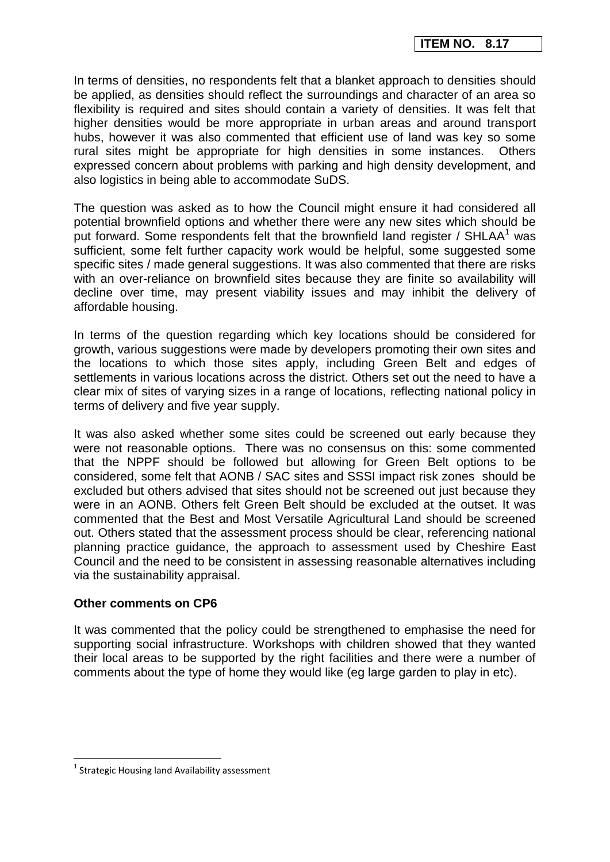In terms of densities, no respondents felt that a blanket approach to densities should be applied, as densities should reflect the surroundings and character of an area so flexibility is required and sites should contain a variety of densities. It was felt that higher densities would be more appropriate in urban areas and around transport hubs, however it was also commented that efficient use of land was key so some rural sites might be appropriate for high densities in some instances. Others expressed concern about problems with parking and high density development, and also logistics in being able to accommodate SuDS.

The question was asked as to how the Council might ensure it had considered all potential brownfield options and whether there were any new sites which should be put forward. Some respondents felt that the brownfield land register / SHLAA<sup>1</sup> was sufficient, some felt further capacity work would be helpful, some suggested some specific sites / made general suggestions. It was also commented that there are risks with an over-reliance on brownfield sites because they are finite so availability will decline over time, may present viability issues and may inhibit the delivery of affordable housing.

In terms of the question regarding which key locations should be considered for growth, various suggestions were made by developers promoting their own sites and the locations to which those sites apply, including Green Belt and edges of settlements in various locations across the district. Others set out the need to have a clear mix of sites of varying sizes in a range of locations, reflecting national policy in terms of delivery and five year supply.

It was also asked whether some sites could be screened out early because they were not reasonable options. There was no consensus on this: some commented that the NPPF should be followed but allowing for Green Belt options to be considered, some felt that AONB / SAC sites and SSSI impact risk zones should be excluded but others advised that sites should not be screened out just because they were in an AONB. Others felt Green Belt should be excluded at the outset. It was commented that the Best and Most Versatile Agricultural Land should be screened out. Others stated that the assessment process should be clear, referencing national planning practice guidance, the approach to assessment used by Cheshire East Council and the need to be consistent in assessing reasonable alternatives including via the sustainability appraisal.

## **Other comments on CP6**

It was commented that the policy could be strengthened to emphasise the need for supporting social infrastructure. Workshops with children showed that they wanted their local areas to be supported by the right facilities and there were a number of comments about the type of home they would like (eg large garden to play in etc).

1

<sup>&</sup>lt;sup>1</sup> Strategic Housing land Availability assessment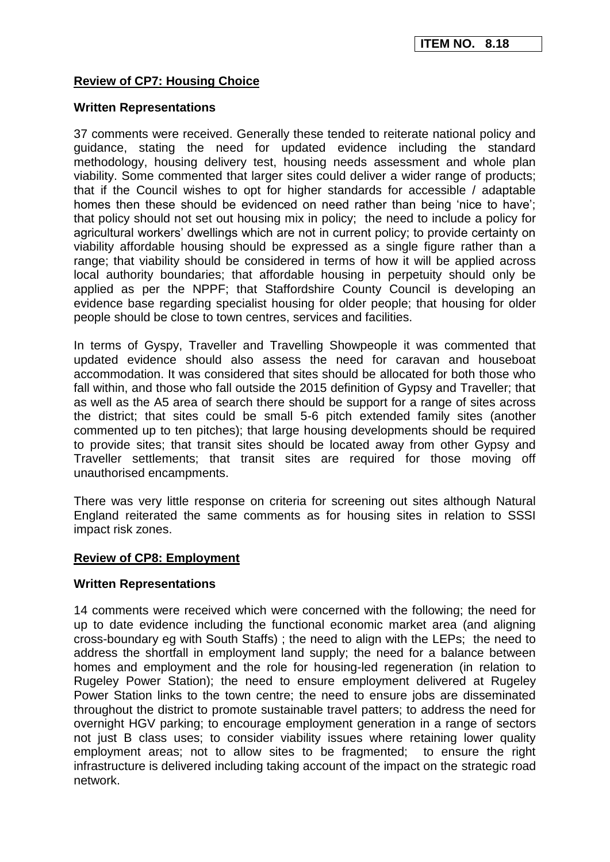## **Review of CP7: Housing Choice**

#### **Written Representations**

37 comments were received. Generally these tended to reiterate national policy and guidance, stating the need for updated evidence including the standard methodology, housing delivery test, housing needs assessment and whole plan viability. Some commented that larger sites could deliver a wider range of products; that if the Council wishes to opt for higher standards for accessible / adaptable homes then these should be evidenced on need rather than being 'nice to have'; that policy should not set out housing mix in policy; the need to include a policy for agricultural workers' dwellings which are not in current policy; to provide certainty on viability affordable housing should be expressed as a single figure rather than a range; that viability should be considered in terms of how it will be applied across local authority boundaries; that affordable housing in perpetuity should only be applied as per the NPPF; that Staffordshire County Council is developing an evidence base regarding specialist housing for older people; that housing for older people should be close to town centres, services and facilities.

In terms of Gyspy, Traveller and Travelling Showpeople it was commented that updated evidence should also assess the need for caravan and houseboat accommodation. It was considered that sites should be allocated for both those who fall within, and those who fall outside the 2015 definition of Gypsy and Traveller; that as well as the A5 area of search there should be support for a range of sites across the district; that sites could be small 5-6 pitch extended family sites (another commented up to ten pitches); that large housing developments should be required to provide sites; that transit sites should be located away from other Gypsy and Traveller settlements; that transit sites are required for those moving off unauthorised encampments.

There was very little response on criteria for screening out sites although Natural England reiterated the same comments as for housing sites in relation to SSSI impact risk zones.

#### **Review of CP8: Employment**

#### **Written Representations**

14 comments were received which were concerned with the following; the need for up to date evidence including the functional economic market area (and aligning cross-boundary eg with South Staffs) ; the need to align with the LEPs; the need to address the shortfall in employment land supply; the need for a balance between homes and employment and the role for housing-led regeneration (in relation to Rugeley Power Station); the need to ensure employment delivered at Rugeley Power Station links to the town centre; the need to ensure jobs are disseminated throughout the district to promote sustainable travel patters; to address the need for overnight HGV parking; to encourage employment generation in a range of sectors not just B class uses; to consider viability issues where retaining lower quality employment areas; not to allow sites to be fragmented; to ensure the right infrastructure is delivered including taking account of the impact on the strategic road network.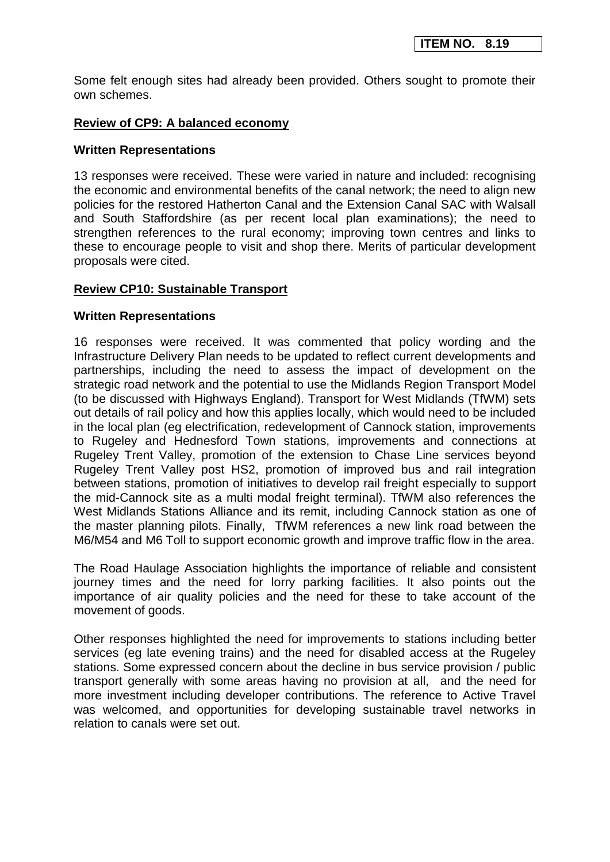Some felt enough sites had already been provided. Others sought to promote their own schemes.

### **Review of CP9: A balanced economy**

#### **Written Representations**

13 responses were received. These were varied in nature and included: recognising the economic and environmental benefits of the canal network; the need to align new policies for the restored Hatherton Canal and the Extension Canal SAC with Walsall and South Staffordshire (as per recent local plan examinations); the need to strengthen references to the rural economy; improving town centres and links to these to encourage people to visit and shop there. Merits of particular development proposals were cited.

### **Review CP10: Sustainable Transport**

#### **Written Representations**

16 responses were received. It was commented that policy wording and the Infrastructure Delivery Plan needs to be updated to reflect current developments and partnerships, including the need to assess the impact of development on the strategic road network and the potential to use the Midlands Region Transport Model (to be discussed with Highways England). Transport for West Midlands (TfWM) sets out details of rail policy and how this applies locally, which would need to be included in the local plan (eg electrification, redevelopment of Cannock station, improvements to Rugeley and Hednesford Town stations, improvements and connections at Rugeley Trent Valley, promotion of the extension to Chase Line services beyond Rugeley Trent Valley post HS2, promotion of improved bus and rail integration between stations, promotion of initiatives to develop rail freight especially to support the mid-Cannock site as a multi modal freight terminal). TfWM also references the West Midlands Stations Alliance and its remit, including Cannock station as one of the master planning pilots. Finally, TfWM references a new link road between the M6/M54 and M6 Toll to support economic growth and improve traffic flow in the area.

The Road Haulage Association highlights the importance of reliable and consistent journey times and the need for lorry parking facilities. It also points out the importance of air quality policies and the need for these to take account of the movement of goods.

Other responses highlighted the need for improvements to stations including better services (eg late evening trains) and the need for disabled access at the Rugeley stations. Some expressed concern about the decline in bus service provision / public transport generally with some areas having no provision at all, and the need for more investment including developer contributions. The reference to Active Travel was welcomed, and opportunities for developing sustainable travel networks in relation to canals were set out.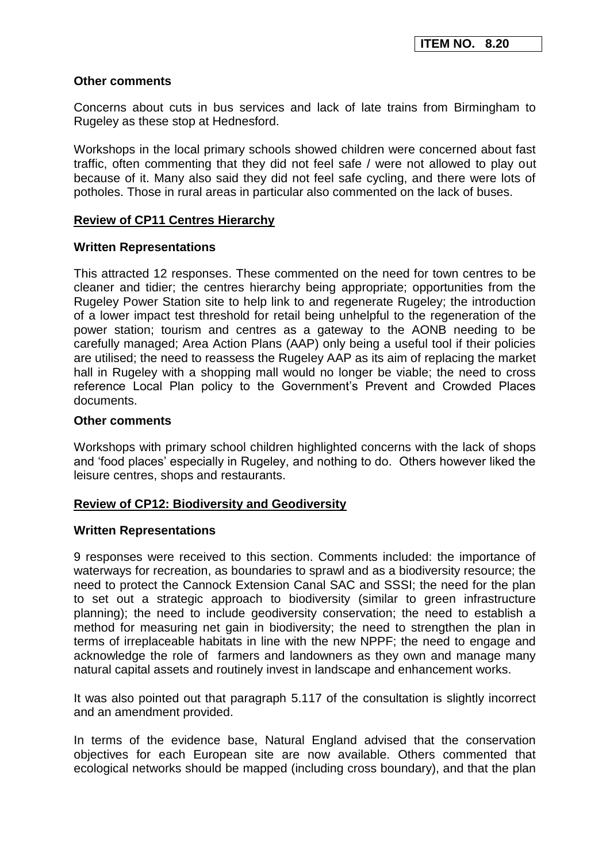### **Other comments**

Concerns about cuts in bus services and lack of late trains from Birmingham to Rugeley as these stop at Hednesford.

Workshops in the local primary schools showed children were concerned about fast traffic, often commenting that they did not feel safe / were not allowed to play out because of it. Many also said they did not feel safe cycling, and there were lots of potholes. Those in rural areas in particular also commented on the lack of buses.

### **Review of CP11 Centres Hierarchy**

### **Written Representations**

This attracted 12 responses. These commented on the need for town centres to be cleaner and tidier; the centres hierarchy being appropriate; opportunities from the Rugeley Power Station site to help link to and regenerate Rugeley; the introduction of a lower impact test threshold for retail being unhelpful to the regeneration of the power station; tourism and centres as a gateway to the AONB needing to be carefully managed; Area Action Plans (AAP) only being a useful tool if their policies are utilised; the need to reassess the Rugeley AAP as its aim of replacing the market hall in Rugeley with a shopping mall would no longer be viable; the need to cross reference Local Plan policy to the Government's Prevent and Crowded Places documents.

### **Other comments**

Workshops with primary school children highlighted concerns with the lack of shops and 'food places' especially in Rugeley, and nothing to do. Others however liked the leisure centres, shops and restaurants.

#### **Review of CP12: Biodiversity and Geodiversity**

#### **Written Representations**

9 responses were received to this section. Comments included: the importance of waterways for recreation, as boundaries to sprawl and as a biodiversity resource; the need to protect the Cannock Extension Canal SAC and SSSI; the need for the plan to set out a strategic approach to biodiversity (similar to green infrastructure planning); the need to include geodiversity conservation; the need to establish a method for measuring net gain in biodiversity; the need to strengthen the plan in terms of irreplaceable habitats in line with the new NPPF; the need to engage and acknowledge the role of farmers and landowners as they own and manage many natural capital assets and routinely invest in landscape and enhancement works.

It was also pointed out that paragraph 5.117 of the consultation is slightly incorrect and an amendment provided.

In terms of the evidence base, Natural England advised that the conservation objectives for each European site are now available. Others commented that ecological networks should be mapped (including cross boundary), and that the plan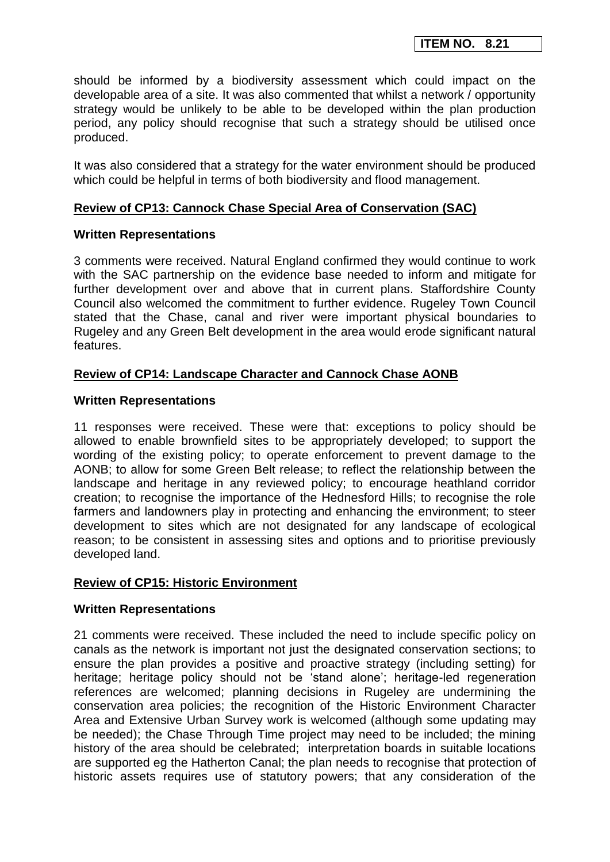should be informed by a biodiversity assessment which could impact on the developable area of a site. It was also commented that whilst a network / opportunity strategy would be unlikely to be able to be developed within the plan production period, any policy should recognise that such a strategy should be utilised once produced.

It was also considered that a strategy for the water environment should be produced which could be helpful in terms of both biodiversity and flood management.

## **Review of CP13: Cannock Chase Special Area of Conservation (SAC)**

### **Written Representations**

3 comments were received. Natural England confirmed they would continue to work with the SAC partnership on the evidence base needed to inform and mitigate for further development over and above that in current plans. Staffordshire County Council also welcomed the commitment to further evidence. Rugeley Town Council stated that the Chase, canal and river were important physical boundaries to Rugeley and any Green Belt development in the area would erode significant natural features.

## **Review of CP14: Landscape Character and Cannock Chase AONB**

### **Written Representations**

11 responses were received. These were that: exceptions to policy should be allowed to enable brownfield sites to be appropriately developed; to support the wording of the existing policy; to operate enforcement to prevent damage to the AONB; to allow for some Green Belt release; to reflect the relationship between the landscape and heritage in any reviewed policy; to encourage heathland corridor creation; to recognise the importance of the Hednesford Hills; to recognise the role farmers and landowners play in protecting and enhancing the environment; to steer development to sites which are not designated for any landscape of ecological reason; to be consistent in assessing sites and options and to prioritise previously developed land.

## **Review of CP15: Historic Environment**

#### **Written Representations**

21 comments were received. These included the need to include specific policy on canals as the network is important not just the designated conservation sections; to ensure the plan provides a positive and proactive strategy (including setting) for heritage; heritage policy should not be 'stand alone'; heritage-led regeneration references are welcomed; planning decisions in Rugeley are undermining the conservation area policies; the recognition of the Historic Environment Character Area and Extensive Urban Survey work is welcomed (although some updating may be needed); the Chase Through Time project may need to be included; the mining history of the area should be celebrated; interpretation boards in suitable locations are supported eg the Hatherton Canal; the plan needs to recognise that protection of historic assets requires use of statutory powers; that any consideration of the